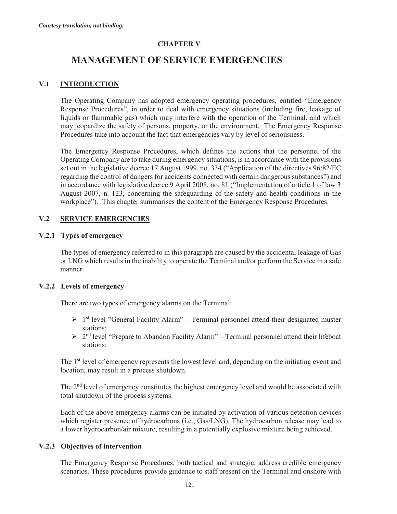# **CHAPTER V**

# **MANAGEMENT OF SERVICE EMERGENCIES**

# **V.1 INTRODUCTION**

The Operating Company has adopted emergency operating procedures, entitled "Emergency Response Procedures", in order to deal with emergency situations (including fire, leakage of liquids or flammable gas) which may interfere with the operation of the Terminal, and which may jeopardize the safety of persons, property, or the environment. The Emergency Response Procedures take into account the fact that emergencies vary by level of seriousness.

The Emergency Response Procedures, which defines the actions that the personnel of the Operating Company are to take during emergency situations, is in accordance with the provisions set out in the legislative decree 17 August 1999, no. 334 ("Application of the directives 96/82/EC regarding the control of dangers for accidents connected with certain dangerous substances") and in accordance with legislative decree 9 April 2008, no. 81 ("Implementation of article 1 of law 3 August 2007, n. 123, concerning the safeguarding of the safety and health conditions in the workplace"). This chapter summarises the content of the Emergency Response Procedures.

# **V.2 SERVICE EMERGENCIES**

## **V.2.1 Types of emergency**

The types of emergency referred to in this paragraph are caused by the accidental leakage of Gas or LNG which results in the inability to operate the Terminal and/or perform the Service in a safe manner.

## **V.2.2 Levels of emergency**

There are two types of emergency alarms on the Terminal:

- $\triangleright$  1<sup>st</sup> level "General Facility Alarm" Terminal personnel attend their designated muster stations;
- $\geq 2^{nd}$  level "Prepare to Abandon Facility Alarm" Terminal personnel attend their lifeboat stations;

The 1<sup>st</sup> level of emergency represents the lowest level and, depending on the initiating event and location, may result in a process shutdown.

The 2<sup>nd</sup> level of emergency constitutes the highest emergency level and would be associated with total shutdown of the process systems.

Each of the above emergency alarms can be initiated by activation of various detection devices which register presence of hydrocarbons (i.e., Gas/LNG). The hydrocarbon release may lead to a lower hydrocarbon/air mixture, resulting in a potentially explosive mixture being achieved.

# **V.2.3 Objectives of intervention**

The Emergency Response Procedures, both tactical and strategic, address credible emergency scenarios. These procedures provide guidance to staff present on the Terminal and onshore with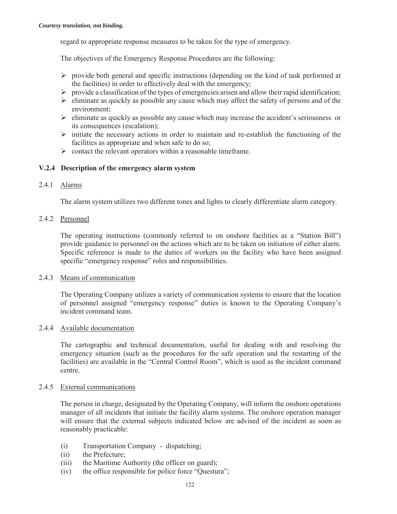regard to appropriate response measures to be taken for the type of emergency.

The objectives of the Emergency Response Procedures are the following:

- $\triangleright$  provide both general and specific instructions (depending on the kind of task performed at the facilities) in order to effectively deal with the emergency;
- $\triangleright$  provide a classification of the types of emergencies arisen and allow their rapid identification;
- $\geq$  eliminate as quickly as possible any cause which may affect the safety of persons and of the environment;
- $\triangleright$  eliminate as quickly as possible any cause which may increase the accident's seriousness or its consequences (escalation);
- $\triangleright$  initiate the necessary actions in order to maintain and re-establish the functioning of the facilities as appropriate and when safe to do so;
- $\triangleright$  contact the relevant operators within a reasonable timeframe.

## **V.2.4 Description of the emergency alarm system**

#### 2.4.1 Alarms

The alarm system utilizes two different tones and lights to clearly differentiate alarm category.

#### 2.4.2 Personnel

The operating instructions (commonly referred to on onshore facilities as a "Station Bill") provide guidance to personnel on the actions which are to be taken on initiation of either alarm. Specific reference is made to the duties of workers on the facility who have been assigned specific "emergency response" roles and responsibilities.

## 2.4.3 Means of communication

The Operating Company utilizes a variety of communication systems to ensure that the location of personnel assigned "emergency response" duties is known to the Operating Company's incident command team.

#### 2.4.4 Available documentation

The cartographic and technical documentation, useful for dealing with and resolving the emergency situation (such as the procedures for the safe operation and the restarting of the facilities) are available in the "Central Control Room", which is used as the incident command centre.

#### 2.4.5 External communications

The person in charge, designated by the Operating Company, will inform the onshore operations manager of all incidents that initiate the facility alarm systems. The onshore operation manager will ensure that the external subjects indicated below are advised of the incident as soon as reasonably practicable:

- (i) Transportation Company dispatching;
- (ii) the Prefecture;
- (iii) the Maritime Authority (the officer on guard);
- (iv) the office responsible for police force "Questura";